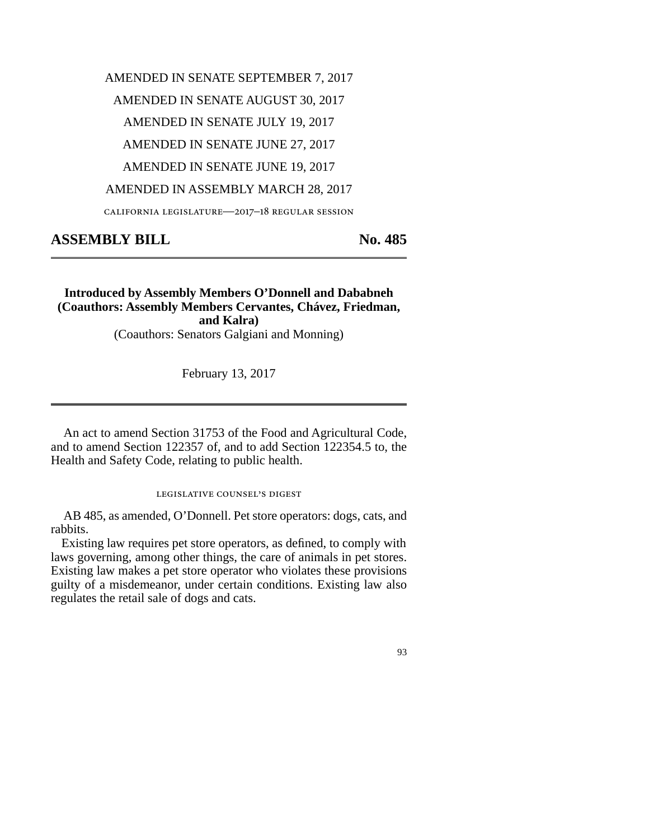### AMENDED IN SENATE SEPTEMBER 7, 2017

# AMENDED IN SENATE AUGUST 30, 2017

AMENDED IN SENATE JULY 19, 2017

AMENDED IN SENATE JUNE 27, 2017

AMENDED IN SENATE JUNE 19, 2017

### AMENDED IN ASSEMBLY MARCH 28, 2017

california legislature—2017–18 regular session

## **ASSEMBLY BILL No. 485**

### **Introduced by Assembly Members O'Donnell and Dababneh (Coauthors: Assembly Members Cervantes, Chávez, Friedman, and Kalra)** (Coauthors: Senators Galgiani and Monning)

February 13, 2017

An act to amend Section 31753 of the Food and Agricultural Code, and to amend Section 122357 of, and to add Section 122354.5 to, the Health and Safety Code, relating to public health.

#### legislative counsel's digest

AB 485, as amended, O'Donnell. Pet store operators: dogs, cats, and rabbits.

Existing law requires pet store operators, as defined, to comply with laws governing, among other things, the care of animals in pet stores. Existing law makes a pet store operator who violates these provisions guilty of a misdemeanor, under certain conditions. Existing law also regulates the retail sale of dogs and cats.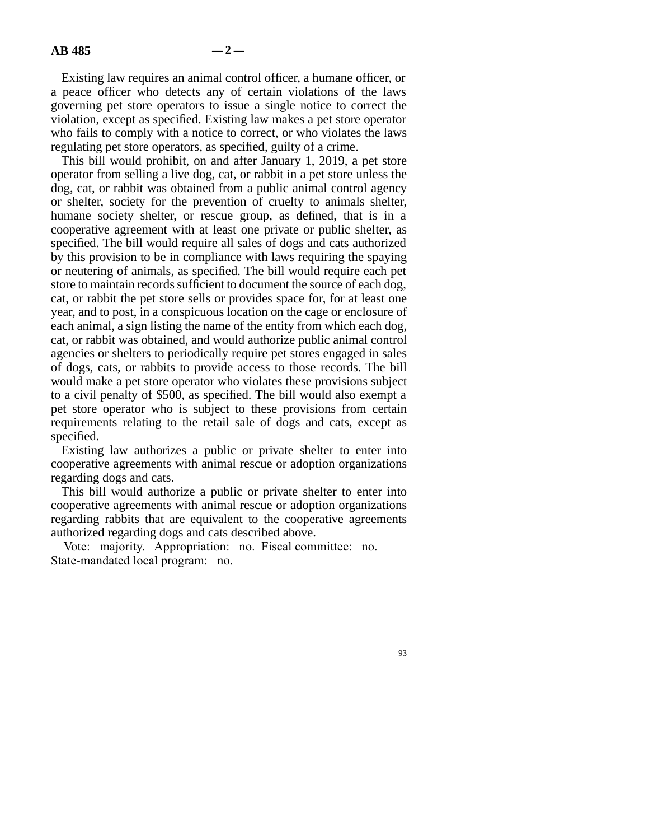Existing law requires an animal control officer, a humane officer, or a peace officer who detects any of certain violations of the laws governing pet store operators to issue a single notice to correct the violation, except as specified. Existing law makes a pet store operator who fails to comply with a notice to correct, or who violates the laws regulating pet store operators, as specified, guilty of a crime.

This bill would prohibit, on and after January 1, 2019, a pet store operator from selling a live dog, cat, or rabbit in a pet store unless the dog, cat, or rabbit was obtained from a public animal control agency or shelter, society for the prevention of cruelty to animals shelter, humane society shelter, or rescue group, as defined, that is in a cooperative agreement with at least one private or public shelter, as specified. The bill would require all sales of dogs and cats authorized by this provision to be in compliance with laws requiring the spaying or neutering of animals, as specified. The bill would require each pet store to maintain records sufficient to document the source of each dog, cat, or rabbit the pet store sells or provides space for, for at least one year, and to post, in a conspicuous location on the cage or enclosure of each animal, a sign listing the name of the entity from which each dog, cat, or rabbit was obtained, and would authorize public animal control agencies or shelters to periodically require pet stores engaged in sales of dogs, cats, or rabbits to provide access to those records. The bill would make a pet store operator who violates these provisions subject to a civil penalty of \$500, as specified. The bill would also exempt a pet store operator who is subject to these provisions from certain requirements relating to the retail sale of dogs and cats, except as specified.

Existing law authorizes a public or private shelter to enter into cooperative agreements with animal rescue or adoption organizations regarding dogs and cats.

This bill would authorize a public or private shelter to enter into cooperative agreements with animal rescue or adoption organizations regarding rabbits that are equivalent to the cooperative agreements authorized regarding dogs and cats described above.

Vote: majority. Appropriation: no. Fiscal committee: no. State-mandated local program: no.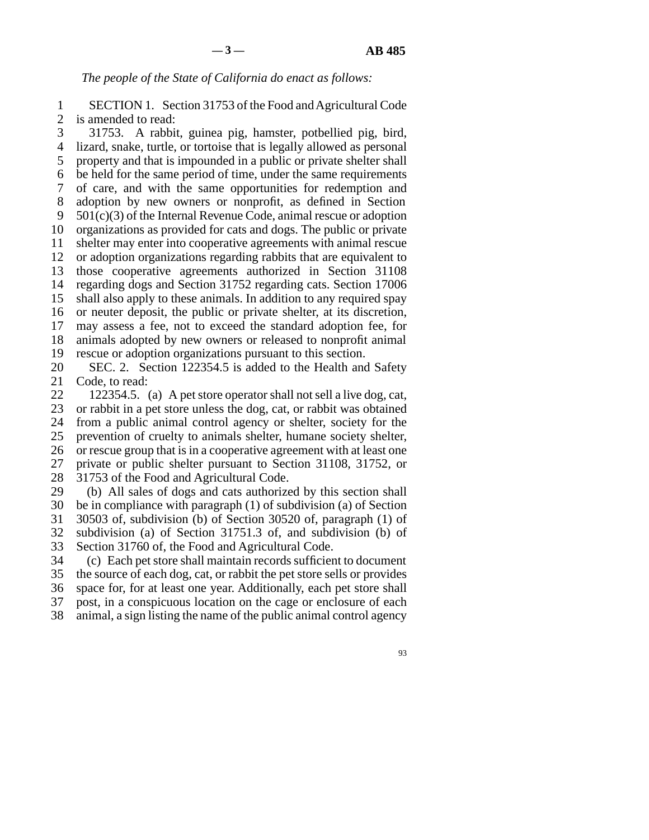*The people of the State of California do enact as follows:*

1 SECTION 1. Section 31753 of the Food and Agricultural Code 2 is amended to read:

3 31753. A rabbit, guinea pig, hamster, potbellied pig, bird, 4 lizard, snake, turtle, or tortoise that is legally allowed as personal 5 property and that is impounded in a public or private shelter shall 6 be held for the same period of time, under the same requirements line 7 of care, and with the same opportunities for redemption and 8 adoption by new owners or nonprofit, as defined in Section 9  $501(c)(3)$  of the Internal Revenue Code, animal rescue or adoption 10 organizations as provided for cats and dogs. The public or private 11 shelter may enter into cooperative agreements with animal rescue 12 or adoption organizations regarding rabbits that are equivalent to 13 those cooperative agreements authorized in Section 31108 14 regarding dogs and Section 31752 regarding cats. Section 17006 15 shall also apply to these animals. In addition to any required spay 16 or neuter deposit, the public or private shelter, at its discretion, 17 may assess a fee, not to exceed the standard adoption fee, for 18 animals adopted by new owners or released to nonprofit animal 19 rescue or adoption organizations pursuant to this section.

20 SEC. 2. Section 122354.5 is added to the Health and Safety<br>21 Code. to read: Code, to read:

22 122354.5. (a) A pet store operator shall not sell a live dog, cat, 23 or rabbit in a pet store unless the dog, cat, or rabbit was obtained or rabbit in a pet store unless the dog, cat, or rabbit was obtained 24 from a public animal control agency or shelter, society for the 25 prevention of cruelty to animals shelter, humane society shelter, 26 or rescue group that is in a cooperative agreement with at least one 27 private or public shelter pursuant to Section 31108, 31752, or 28 31753 of the Food and Agricultural Code.

29 (b) All sales of dogs and cats authorized by this section shall 30 be in compliance with paragraph  $(1)$  of subdivision (a) of Section 31 30503 of, subdivision (b) of Section 30520 of, paragraph (1) of 32 subdivision (a) of Section 31751.3 of, and subdivision (b) of 33 Section 31760 of, the Food and Agricultural Code.

34 (c) Each pet store shall maintain records sufficient to document 35 the source of each dog, cat, or rabbit the pet store sells or provides 36 space for, for at least one year. Additionally, each pet store shall 37 post, in a conspicuous location on the cage or enclosure of each 38 animal, a sign listing the name of the public animal control agency